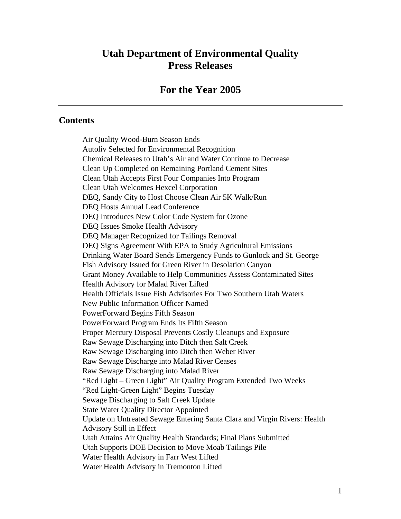# **Utah Department of Environmental Quality Press Releases**

## **For the Year 2005**

#### **Contents**

Air Quality Wood-Burn Season Ends Autoliv Selected for Environmental Recognition Chemical Releases to Utah's Air and Water Continue to Decrease Clean Up Completed on Remaining Portland Cement Sites Clean Utah Accepts First Four Companies Into Program Clean Utah Welcomes Hexcel Corporation DEQ, Sandy City to Host Choose Clean Air 5K Walk/Run DEQ Hosts Annual Lead Conference DEQ Introduces New Color Code System for Ozone DEQ Issues Smoke Health Advisory DEQ Manager Recognized for Tailings Removal DEQ Signs Agreement With EPA to Study Agricultural Emissions Drinking Water Board Sends Emergency Funds to Gunlock and St. George Fish Advisory Issued for Green River in Desolation Canyon Grant Money Available to Help Communities Assess Contaminated Sites Health Advisory for Malad River Lifted Health Officials Issue Fish Advisories For Two Southern Utah Waters New Public Information Officer Named PowerForward Begins Fifth Season PowerForward Program Ends Its Fifth Season Proper Mercury Disposal Prevents Costly Cleanups and Exposure Raw Sewage Discharging into Ditch then Salt Creek Raw Sewage Discharging into Ditch then Weber River Raw Sewage Discharge into Malad River Ceases Raw Sewage Discharging into Malad River "Red Light – Green Light" Air Quality Program Extended Two Weeks "Red Light-Green Light" Begins Tuesday Sewage Discharging to Salt Creek Update State Water Quality Director Appointed Update on Untreated Sewage Entering Santa Clara and Virgin Rivers: Health Advisory Still in Effect Utah Attains Air Quality Health Standards; Final Plans Submitted Utah Supports DOE Decision to Move Moab Tailings Pile Water Health Advisory in Farr West Lifted Water Health Advisory in Tremonton Lifted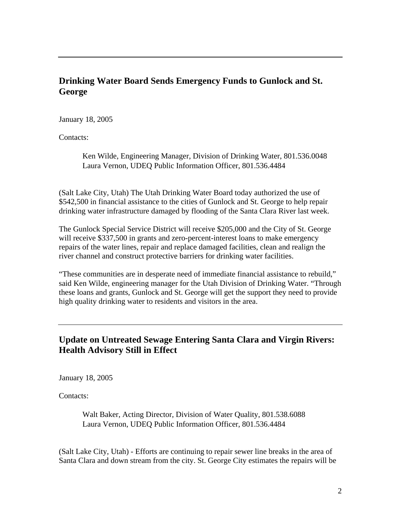# **Drinking Water Board Sends Emergency Funds to Gunlock and St. George**

January 18, 2005

Contacts:

Ken Wilde, Engineering Manager, Division of Drinking Water, 801.536.0048 Laura Vernon, UDEQ Public Information Officer, 801.536.4484

(Salt Lake City, Utah) The Utah Drinking Water Board today authorized the use of \$542,500 in financial assistance to the cities of Gunlock and St. George to help repair drinking water infrastructure damaged by flooding of the Santa Clara River last week.

The Gunlock Special Service District will receive \$205,000 and the City of St. George will receive \$337,500 in grants and zero-percent-interest loans to make emergency repairs of the water lines, repair and replace damaged facilities, clean and realign the river channel and construct protective barriers for drinking water facilities.

"These communities are in desperate need of immediate financial assistance to rebuild," said Ken Wilde, engineering manager for the Utah Division of Drinking Water. "Through these loans and grants, Gunlock and St. George will get the support they need to provide high quality drinking water to residents and visitors in the area.

# **Update on Untreated Sewage Entering Santa Clara and Virgin Rivers: Health Advisory Still in Effect**

January 18, 2005

Contacts:

Walt Baker, Acting Director, Division of Water Quality, 801.538.6088 Laura Vernon, UDEQ Public Information Officer, 801.536.4484

(Salt Lake City, Utah) - Efforts are continuing to repair sewer line breaks in the area of Santa Clara and down stream from the city. St. George City estimates the repairs will be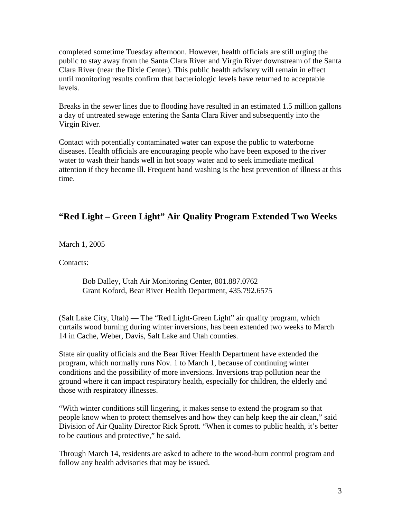completed sometime Tuesday afternoon. However, health officials are still urging the public to stay away from the Santa Clara River and Virgin River downstream of the Santa Clara River (near the Dixie Center). This public health advisory will remain in effect until monitoring results confirm that bacteriologic levels have returned to acceptable levels.

Breaks in the sewer lines due to flooding have resulted in an estimated 1.5 million gallons a day of untreated sewage entering the Santa Clara River and subsequently into the Virgin River.

Contact with potentially contaminated water can expose the public to waterborne diseases. Health officials are encouraging people who have been exposed to the river water to wash their hands well in hot soapy water and to seek immediate medical attention if they become ill. Frequent hand washing is the best prevention of illness at this time.

# **"Red Light – Green Light" Air Quality Program Extended Two Weeks**

March 1, 2005

Contacts:

Bob Dalley, Utah Air Monitoring Center, 801.887.0762 Grant Koford, Bear River Health Department, 435.792.6575

(Salt Lake City, Utah) — The "Red Light-Green Light" air quality program, which curtails wood burning during winter inversions, has been extended two weeks to March 14 in Cache, Weber, Davis, Salt Lake and Utah counties.

State air quality officials and the Bear River Health Department have extended the program, which normally runs Nov. 1 to March 1, because of continuing winter conditions and the possibility of more inversions. Inversions trap pollution near the ground where it can impact respiratory health, especially for children, the elderly and those with respiratory illnesses.

"With winter conditions still lingering, it makes sense to extend the program so that people know when to protect themselves and how they can help keep the air clean," said Division of Air Quality Director Rick Sprott. "When it comes to public health, it's better to be cautious and protective," he said.

Through March 14, residents are asked to adhere to the wood-burn control program and follow any health advisories that may be issued.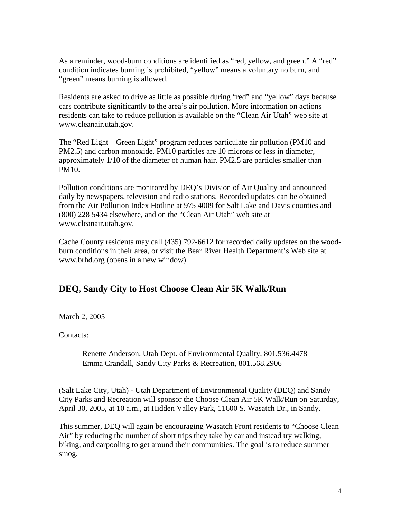As a reminder, wood-burn conditions are identified as "red, yellow, and green." A "red" condition indicates burning is prohibited, "yellow" means a voluntary no burn, and "green" means burning is allowed.

Residents are asked to drive as little as possible during "red" and "yellow" days because cars contribute significantly to the area's air pollution. More information on actions residents can take to reduce pollution is available on the "Clean Air Utah" web site at www.cleanair.utah.gov.

The "Red Light – Green Light" program reduces particulate air pollution (PM10 and PM2.5) and carbon monoxide. PM10 particles are 10 microns or less in diameter, approximately 1/10 of the diameter of human hair. PM2.5 are particles smaller than PM10.

Pollution conditions are monitored by DEQ's Division of Air Quality and announced daily by newspapers, television and radio stations. Recorded updates can be obtained from the Air Pollution Index Hotline at 975 4009 for Salt Lake and Davis counties and (800) 228 5434 elsewhere, and on the "Clean Air Utah" web site at www.cleanair.utah.gov.

Cache County residents may call (435) 792-6612 for recorded daily updates on the woodburn conditions in their area, or visit the Bear River Health Department's Web site at www.brhd.org (opens in a new window).

# **DEQ, Sandy City to Host Choose Clean Air 5K Walk/Run**

March 2, 2005

Contacts:

Renette Anderson, Utah Dept. of Environmental Quality, 801.536.4478 Emma Crandall, Sandy City Parks & Recreation, 801.568.2906

(Salt Lake City, Utah) - Utah Department of Environmental Quality (DEQ) and Sandy City Parks and Recreation will sponsor the Choose Clean Air 5K Walk/Run on Saturday, April 30, 2005, at 10 a.m., at Hidden Valley Park, 11600 S. Wasatch Dr., in Sandy.

This summer, DEQ will again be encouraging Wasatch Front residents to "Choose Clean Air" by reducing the number of short trips they take by car and instead try walking, biking, and carpooling to get around their communities. The goal is to reduce summer smog.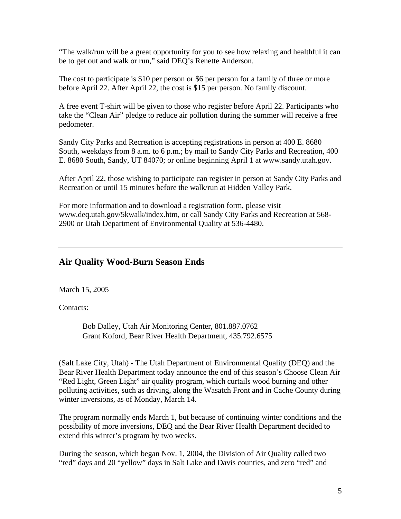"The walk/run will be a great opportunity for you to see how relaxing and healthful it can be to get out and walk or run," said DEQ's Renette Anderson.

The cost to participate is \$10 per person or \$6 per person for a family of three or more before April 22. After April 22, the cost is \$15 per person. No family discount.

A free event T-shirt will be given to those who register before April 22. Participants who take the "Clean Air" pledge to reduce air pollution during the summer will receive a free pedometer.

Sandy City Parks and Recreation is accepting registrations in person at 400 E. 8680 South, weekdays from 8 a.m. to 6 p.m.; by mail to Sandy City Parks and Recreation, 400 E. 8680 South, Sandy, UT 84070; or online beginning April 1 at www.sandy.utah.gov.

After April 22, those wishing to participate can register in person at Sandy City Parks and Recreation or until 15 minutes before the walk/run at Hidden Valley Park.

For more information and to download a registration form, please visit www.deq.utah.gov/5kwalk/index.htm, or call Sandy City Parks and Recreation at 568- 2900 or Utah Department of Environmental Quality at 536-4480.

## **Air Quality Wood-Burn Season Ends**

March 15, 2005

Contacts:

Bob Dalley, Utah Air Monitoring Center, 801.887.0762 Grant Koford, Bear River Health Department, 435.792.6575

(Salt Lake City, Utah) - The Utah Department of Environmental Quality (DEQ) and the Bear River Health Department today announce the end of this season's Choose Clean Air "Red Light, Green Light" air quality program, which curtails wood burning and other polluting activities, such as driving, along the Wasatch Front and in Cache County during winter inversions, as of Monday, March 14.

The program normally ends March 1, but because of continuing winter conditions and the possibility of more inversions, DEQ and the Bear River Health Department decided to extend this winter's program by two weeks.

During the season, which began Nov. 1, 2004, the Division of Air Quality called two "red" days and 20 "yellow" days in Salt Lake and Davis counties, and zero "red" and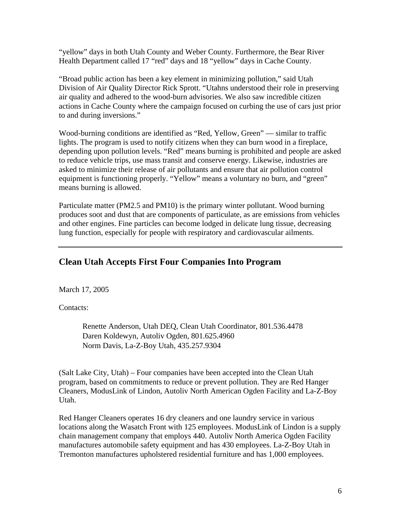"yellow" days in both Utah County and Weber County. Furthermore, the Bear River Health Department called 17 "red" days and 18 "yellow" days in Cache County.

"Broad public action has been a key element in minimizing pollution," said Utah Division of Air Quality Director Rick Sprott. "Utahns understood their role in preserving air quality and adhered to the wood-burn advisories. We also saw incredible citizen actions in Cache County where the campaign focused on curbing the use of cars just prior to and during inversions."

Wood-burning conditions are identified as "Red, Yellow, Green" — similar to traffic lights. The program is used to notify citizens when they can burn wood in a fireplace, depending upon pollution levels. "Red" means burning is prohibited and people are asked to reduce vehicle trips, use mass transit and conserve energy. Likewise, industries are asked to minimize their release of air pollutants and ensure that air pollution control equipment is functioning properly. "Yellow" means a voluntary no burn, and "green" means burning is allowed.

Particulate matter (PM2.5 and PM10) is the primary winter pollutant. Wood burning produces soot and dust that are components of particulate, as are emissions from vehicles and other engines. Fine particles can become lodged in delicate lung tissue, decreasing lung function, especially for people with respiratory and cardiovascular ailments.

# **Clean Utah Accepts First Four Companies Into Program**

March 17, 2005

Contacts:

Renette Anderson, Utah DEQ, Clean Utah Coordinator, 801.536.4478 Daren Koldewyn, Autoliv Ogden, 801.625.4960 Norm Davis, La-Z-Boy Utah, 435.257.9304

(Salt Lake City, Utah) – Four companies have been accepted into the Clean Utah program, based on commitments to reduce or prevent pollution. They are Red Hanger Cleaners, ModusLink of Lindon, Autoliv North American Ogden Facility and La-Z-Boy Utah.

Red Hanger Cleaners operates 16 dry cleaners and one laundry service in various locations along the Wasatch Front with 125 employees. ModusLink of Lindon is a supply chain management company that employs 440. Autoliv North America Ogden Facility manufactures automobile safety equipment and has 430 employees. La-Z-Boy Utah in Tremonton manufactures upholstered residential furniture and has 1,000 employees.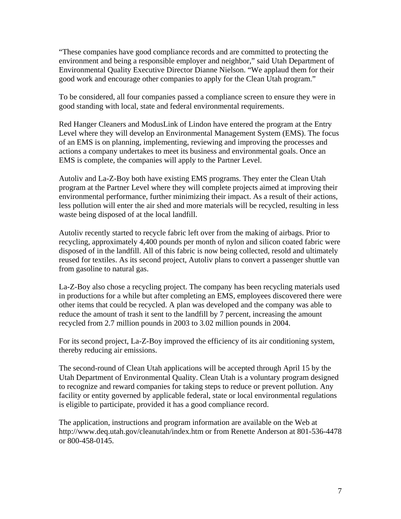"These companies have good compliance records and are committed to protecting the environment and being a responsible employer and neighbor," said Utah Department of Environmental Quality Executive Director Dianne Nielson. "We applaud them for their good work and encourage other companies to apply for the Clean Utah program."

To be considered, all four companies passed a compliance screen to ensure they were in good standing with local, state and federal environmental requirements.

Red Hanger Cleaners and ModusLink of Lindon have entered the program at the Entry Level where they will develop an Environmental Management System (EMS). The focus of an EMS is on planning, implementing, reviewing and improving the processes and actions a company undertakes to meet its business and environmental goals. Once an EMS is complete, the companies will apply to the Partner Level.

Autoliv and La-Z-Boy both have existing EMS programs. They enter the Clean Utah program at the Partner Level where they will complete projects aimed at improving their environmental performance, further minimizing their impact. As a result of their actions, less pollution will enter the air shed and more materials will be recycled, resulting in less waste being disposed of at the local landfill.

Autoliv recently started to recycle fabric left over from the making of airbags. Prior to recycling, approximately 4,400 pounds per month of nylon and silicon coated fabric were disposed of in the landfill. All of this fabric is now being collected, resold and ultimately reused for textiles. As its second project, Autoliv plans to convert a passenger shuttle van from gasoline to natural gas.

La-Z-Boy also chose a recycling project. The company has been recycling materials used in productions for a while but after completing an EMS, employees discovered there were other items that could be recycled. A plan was developed and the company was able to reduce the amount of trash it sent to the landfill by 7 percent, increasing the amount recycled from 2.7 million pounds in 2003 to 3.02 million pounds in 2004.

For its second project, La-Z-Boy improved the efficiency of its air conditioning system, thereby reducing air emissions.

The second-round of Clean Utah applications will be accepted through April 15 by the Utah Department of Environmental Quality. Clean Utah is a voluntary program designed to recognize and reward companies for taking steps to reduce or prevent pollution. Any facility or entity governed by applicable federal, state or local environmental regulations is eligible to participate, provided it has a good compliance record.

The application, instructions and program information are available on the Web at http://www.deq.utah.gov/cleanutah/index.htm or from Renette Anderson at 801-536-4478 or 800-458-0145.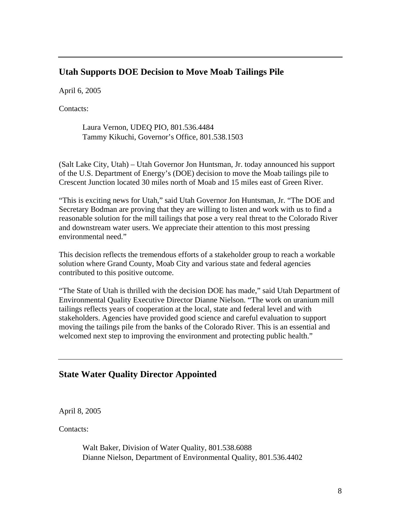# **Utah Supports DOE Decision to Move Moab Tailings Pile**

April 6, 2005

Contacts:

Laura Vernon, UDEQ PIO, 801.536.4484 Tammy Kikuchi, Governor's Office, 801.538.1503

(Salt Lake City, Utah) – Utah Governor Jon Huntsman, Jr. today announced his support of the U.S. Department of Energy's (DOE) decision to move the Moab tailings pile to Crescent Junction located 30 miles north of Moab and 15 miles east of Green River.

"This is exciting news for Utah," said Utah Governor Jon Huntsman, Jr. "The DOE and Secretary Bodman are proving that they are willing to listen and work with us to find a reasonable solution for the mill tailings that pose a very real threat to the Colorado River and downstream water users. We appreciate their attention to this most pressing environmental need."

This decision reflects the tremendous efforts of a stakeholder group to reach a workable solution where Grand County, Moab City and various state and federal agencies contributed to this positive outcome.

"The State of Utah is thrilled with the decision DOE has made," said Utah Department of Environmental Quality Executive Director Dianne Nielson. "The work on uranium mill tailings reflects years of cooperation at the local, state and federal level and with stakeholders. Agencies have provided good science and careful evaluation to support moving the tailings pile from the banks of the Colorado River. This is an essential and welcomed next step to improving the environment and protecting public health."

# **State Water Quality Director Appointed**

April 8, 2005

Contacts:

Walt Baker, Division of Water Quality, 801.538.6088 Dianne Nielson, Department of Environmental Quality, 801.536.4402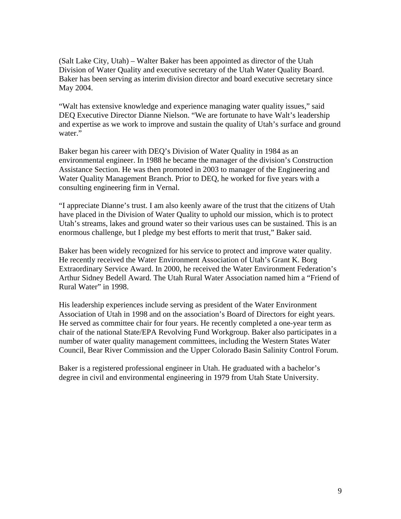(Salt Lake City, Utah) – Walter Baker has been appointed as director of the Utah Division of Water Quality and executive secretary of the Utah Water Quality Board. Baker has been serving as interim division director and board executive secretary since May 2004.

"Walt has extensive knowledge and experience managing water quality issues," said DEQ Executive Director Dianne Nielson. "We are fortunate to have Walt's leadership and expertise as we work to improve and sustain the quality of Utah's surface and ground water."

Baker began his career with DEQ's Division of Water Quality in 1984 as an environmental engineer. In 1988 he became the manager of the division's Construction Assistance Section. He was then promoted in 2003 to manager of the Engineering and Water Quality Management Branch. Prior to DEQ, he worked for five years with a consulting engineering firm in Vernal.

"I appreciate Dianne's trust. I am also keenly aware of the trust that the citizens of Utah have placed in the Division of Water Quality to uphold our mission, which is to protect Utah's streams, lakes and ground water so their various uses can be sustained. This is an enormous challenge, but I pledge my best efforts to merit that trust," Baker said.

Baker has been widely recognized for his service to protect and improve water quality. He recently received the Water Environment Association of Utah's Grant K. Borg Extraordinary Service Award. In 2000, he received the Water Environment Federation's Arthur Sidney Bedell Award. The Utah Rural Water Association named him a "Friend of Rural Water" in 1998.

His leadership experiences include serving as president of the Water Environment Association of Utah in 1998 and on the association's Board of Directors for eight years. He served as committee chair for four years. He recently completed a one-year term as chair of the national State/EPA Revolving Fund Workgroup. Baker also participates in a number of water quality management committees, including the Western States Water Council, Bear River Commission and the Upper Colorado Basin Salinity Control Forum.

Baker is a registered professional engineer in Utah. He graduated with a bachelor's degree in civil and environmental engineering in 1979 from Utah State University.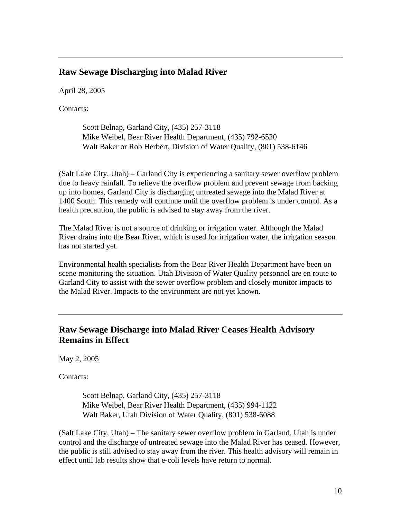### **Raw Sewage Discharging into Malad River**

April 28, 2005

Contacts:

Scott Belnap, Garland City, (435) 257-3118 Mike Weibel, Bear River Health Department, (435) 792-6520 Walt Baker or Rob Herbert, Division of Water Quality, (801) 538-6146

(Salt Lake City, Utah) – Garland City is experiencing a sanitary sewer overflow problem due to heavy rainfall. To relieve the overflow problem and prevent sewage from backing up into homes, Garland City is discharging untreated sewage into the Malad River at 1400 South. This remedy will continue until the overflow problem is under control. As a health precaution, the public is advised to stay away from the river.

The Malad River is not a source of drinking or irrigation water. Although the Malad River drains into the Bear River, which is used for irrigation water, the irrigation season has not started yet.

Environmental health specialists from the Bear River Health Department have been on scene monitoring the situation. Utah Division of Water Quality personnel are en route to Garland City to assist with the sewer overflow problem and closely monitor impacts to the Malad River. Impacts to the environment are not yet known.

# **Raw Sewage Discharge into Malad River Ceases Health Advisory Remains in Effect**

May 2, 2005

Contacts:

Scott Belnap, Garland City, (435) 257-3118 Mike Weibel, Bear River Health Department, (435) 994-1122 Walt Baker, Utah Division of Water Quality, (801) 538-6088

(Salt Lake City, Utah) – The sanitary sewer overflow problem in Garland, Utah is under control and the discharge of untreated sewage into the Malad River has ceased. However, the public is still advised to stay away from the river. This health advisory will remain in effect until lab results show that e-coli levels have return to normal.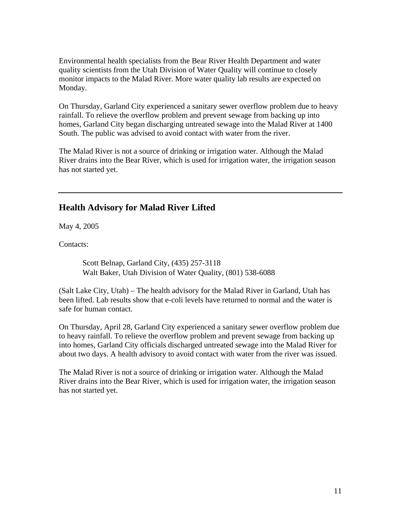Environmental health specialists from the Bear River Health Department and water quality scientists from the Utah Division of Water Quality will continue to closely monitor impacts to the Malad River. More water quality lab results are expected on Monday.

On Thursday, Garland City experienced a sanitary sewer overflow problem due to heavy rainfall. To relieve the overflow problem and prevent sewage from backing up into homes, Garland City began discharging untreated sewage into the Malad River at 1400 South. The public was advised to avoid contact with water from the river.

The Malad River is not a source of drinking or irrigation water. Although the Malad River drains into the Bear River, which is used for irrigation water, the irrigation season has not started yet.

# **Health Advisory for Malad River Lifted**

May 4, 2005

Contacts:

Scott Belnap, Garland City, (435) 257-3118 Walt Baker, Utah Division of Water Quality, (801) 538-6088

(Salt Lake City, Utah) – The health advisory for the Malad River in Garland, Utah has been lifted. Lab results show that e-coli levels have returned to normal and the water is safe for human contact.

On Thursday, April 28, Garland City experienced a sanitary sewer overflow problem due to heavy rainfall. To relieve the overflow problem and prevent sewage from backing up into homes, Garland City officials discharged untreated sewage into the Malad River for about two days. A health advisory to avoid contact with water from the river was issued.

The Malad River is not a source of drinking or irrigation water. Although the Malad River drains into the Bear River, which is used for irrigation water, the irrigation season has not started yet.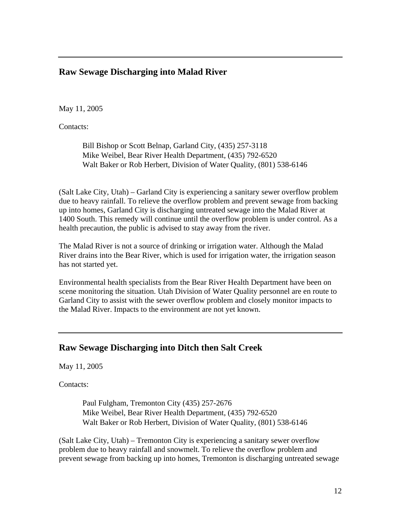### **Raw Sewage Discharging into Malad River**

May 11, 2005

Contacts:

Bill Bishop or Scott Belnap, Garland City, (435) 257-3118 Mike Weibel, Bear River Health Department, (435) 792-6520 Walt Baker or Rob Herbert, Division of Water Quality, (801) 538-6146

(Salt Lake City, Utah) – Garland City is experiencing a sanitary sewer overflow problem due to heavy rainfall. To relieve the overflow problem and prevent sewage from backing up into homes, Garland City is discharging untreated sewage into the Malad River at 1400 South. This remedy will continue until the overflow problem is under control. As a health precaution, the public is advised to stay away from the river.

The Malad River is not a source of drinking or irrigation water. Although the Malad River drains into the Bear River, which is used for irrigation water, the irrigation season has not started yet.

Environmental health specialists from the Bear River Health Department have been on scene monitoring the situation. Utah Division of Water Quality personnel are en route to Garland City to assist with the sewer overflow problem and closely monitor impacts to the Malad River. Impacts to the environment are not yet known.

### **Raw Sewage Discharging into Ditch then Salt Creek**

May 11, 2005

Contacts:

Paul Fulgham, Tremonton City (435) 257-2676 Mike Weibel, Bear River Health Department, (435) 792-6520 Walt Baker or Rob Herbert, Division of Water Quality, (801) 538-6146

(Salt Lake City, Utah) – Tremonton City is experiencing a sanitary sewer overflow problem due to heavy rainfall and snowmelt. To relieve the overflow problem and prevent sewage from backing up into homes, Tremonton is discharging untreated sewage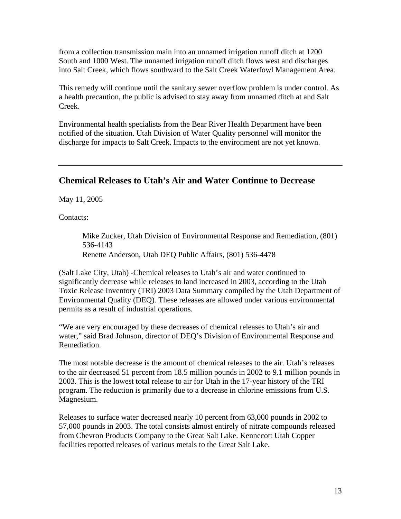from a collection transmission main into an unnamed irrigation runoff ditch at 1200 South and 1000 West. The unnamed irrigation runoff ditch flows west and discharges into Salt Creek, which flows southward to the Salt Creek Waterfowl Management Area.

This remedy will continue until the sanitary sewer overflow problem is under control. As a health precaution, the public is advised to stay away from unnamed ditch at and Salt Creek.

Environmental health specialists from the Bear River Health Department have been notified of the situation. Utah Division of Water Quality personnel will monitor the discharge for impacts to Salt Creek. Impacts to the environment are not yet known.

## **Chemical Releases to Utah's Air and Water Continue to Decrease**

May 11, 2005

Contacts:

Mike Zucker, Utah Division of Environmental Response and Remediation, (801) 536-4143 Renette Anderson, Utah DEQ Public Affairs, (801) 536-4478

(Salt Lake City, Utah) -Chemical releases to Utah's air and water continued to significantly decrease while releases to land increased in 2003, according to the Utah Toxic Release Inventory (TRI) 2003 Data Summary compiled by the Utah Department of Environmental Quality (DEQ). These releases are allowed under various environmental permits as a result of industrial operations.

"We are very encouraged by these decreases of chemical releases to Utah's air and water," said Brad Johnson, director of DEQ's Division of Environmental Response and Remediation.

The most notable decrease is the amount of chemical releases to the air. Utah's releases to the air decreased 51 percent from 18.5 million pounds in 2002 to 9.1 million pounds in 2003. This is the lowest total release to air for Utah in the 17-year history of the TRI program. The reduction is primarily due to a decrease in chlorine emissions from U.S. Magnesium.

Releases to surface water decreased nearly 10 percent from 63,000 pounds in 2002 to 57,000 pounds in 2003. The total consists almost entirely of nitrate compounds released from Chevron Products Company to the Great Salt Lake. Kennecott Utah Copper facilities reported releases of various metals to the Great Salt Lake.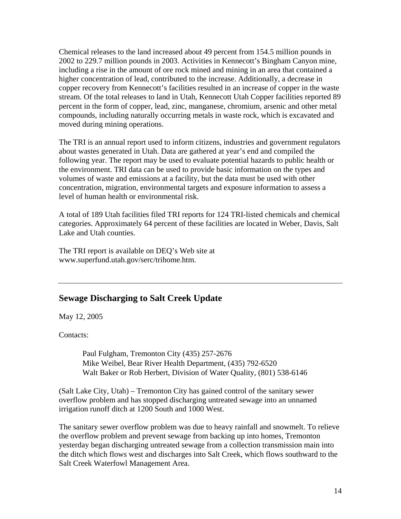Chemical releases to the land increased about 49 percent from 154.5 million pounds in 2002 to 229.7 million pounds in 2003. Activities in Kennecott's Bingham Canyon mine, including a rise in the amount of ore rock mined and mining in an area that contained a higher concentration of lead, contributed to the increase. Additionally, a decrease in copper recovery from Kennecott's facilities resulted in an increase of copper in the waste stream. Of the total releases to land in Utah, Kennecott Utah Copper facilities reported 89 percent in the form of copper, lead, zinc, manganese, chromium, arsenic and other metal compounds, including naturally occurring metals in waste rock, which is excavated and moved during mining operations.

The TRI is an annual report used to inform citizens, industries and government regulators about wastes generated in Utah. Data are gathered at year's end and compiled the following year. The report may be used to evaluate potential hazards to public health or the environment. TRI data can be used to provide basic information on the types and volumes of waste and emissions at a facility, but the data must be used with other concentration, migration, environmental targets and exposure information to assess a level of human health or environmental risk.

A total of 189 Utah facilities filed TRI reports for 124 TRI-listed chemicals and chemical categories. Approximately 64 percent of these facilities are located in Weber, Davis, Salt Lake and Utah counties.

The TRI report is available on DEQ's Web site at www.superfund.utah.gov/serc/trihome.htm.

# **Sewage Discharging to Salt Creek Update**

May 12, 2005

Contacts:

Paul Fulgham, Tremonton City (435) 257-2676 Mike Weibel, Bear River Health Department, (435) 792-6520 Walt Baker or Rob Herbert, Division of Water Quality, (801) 538-6146

(Salt Lake City, Utah) – Tremonton City has gained control of the sanitary sewer overflow problem and has stopped discharging untreated sewage into an unnamed irrigation runoff ditch at 1200 South and 1000 West.

The sanitary sewer overflow problem was due to heavy rainfall and snowmelt. To relieve the overflow problem and prevent sewage from backing up into homes, Tremonton yesterday began discharging untreated sewage from a collection transmission main into the ditch which flows west and discharges into Salt Creek, which flows southward to the Salt Creek Waterfowl Management Area.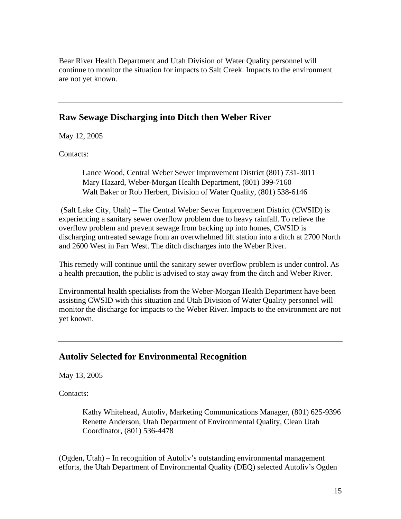Bear River Health Department and Utah Division of Water Quality personnel will continue to monitor the situation for impacts to Salt Creek. Impacts to the environment are not yet known.

### **Raw Sewage Discharging into Ditch then Weber River**

May 12, 2005

Contacts:

Lance Wood, Central Weber Sewer Improvement District (801) 731-3011 Mary Hazard, Weber-Morgan Health Department, (801) 399-7160 Walt Baker or Rob Herbert, Division of Water Quality, (801) 538-6146

 (Salt Lake City, Utah) – The Central Weber Sewer Improvement District (CWSID) is experiencing a sanitary sewer overflow problem due to heavy rainfall. To relieve the overflow problem and prevent sewage from backing up into homes, CWSID is discharging untreated sewage from an overwhelmed lift station into a ditch at 2700 North and 2600 West in Farr West. The ditch discharges into the Weber River.

This remedy will continue until the sanitary sewer overflow problem is under control. As a health precaution, the public is advised to stay away from the ditch and Weber River.

Environmental health specialists from the Weber-Morgan Health Department have been assisting CWSID with this situation and Utah Division of Water Quality personnel will monitor the discharge for impacts to the Weber River. Impacts to the environment are not yet known.

### **Autoliv Selected for Environmental Recognition**

May 13, 2005

Contacts:

Kathy Whitehead, Autoliv, Marketing Communications Manager, (801) 625-9396 Renette Anderson, Utah Department of Environmental Quality, Clean Utah Coordinator, (801) 536-4478

(Ogden, Utah) – In recognition of Autoliv's outstanding environmental management efforts, the Utah Department of Environmental Quality (DEQ) selected Autoliv's Ogden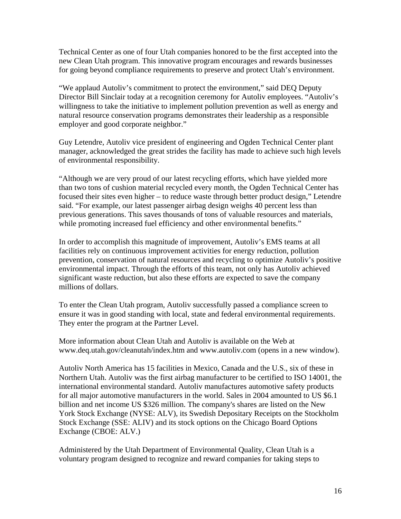Technical Center as one of four Utah companies honored to be the first accepted into the new Clean Utah program. This innovative program encourages and rewards businesses for going beyond compliance requirements to preserve and protect Utah's environment.

"We applaud Autoliv's commitment to protect the environment," said DEQ Deputy Director Bill Sinclair today at a recognition ceremony for Autoliv employees. "Autoliv's willingness to take the initiative to implement pollution prevention as well as energy and natural resource conservation programs demonstrates their leadership as a responsible employer and good corporate neighbor."

Guy Letendre, Autoliv vice president of engineering and Ogden Technical Center plant manager, acknowledged the great strides the facility has made to achieve such high levels of environmental responsibility.

"Although we are very proud of our latest recycling efforts, which have yielded more than two tons of cushion material recycled every month, the Ogden Technical Center has focused their sites even higher – to reduce waste through better product design," Letendre said. "For example, our latest passenger airbag design weighs 40 percent less than previous generations. This saves thousands of tons of valuable resources and materials, while promoting increased fuel efficiency and other environmental benefits."

In order to accomplish this magnitude of improvement, Autoliv's EMS teams at all facilities rely on continuous improvement activities for energy reduction, pollution prevention, conservation of natural resources and recycling to optimize Autoliv's positive environmental impact. Through the efforts of this team, not only has Autoliv achieved significant waste reduction, but also these efforts are expected to save the company millions of dollars.

To enter the Clean Utah program, Autoliv successfully passed a compliance screen to ensure it was in good standing with local, state and federal environmental requirements. They enter the program at the Partner Level.

More information about Clean Utah and Autoliv is available on the Web at www.deq.utah.gov/cleanutah/index.htm and www.autoliv.com (opens in a new window).

Autoliv North America has 15 facilities in Mexico, Canada and the U.S., six of these in Northern Utah. Autoliv was the first airbag manufacturer to be certified to ISO 14001, the international environmental standard. Autoliv manufactures automotive safety products for all major automotive manufacturers in the world. Sales in 2004 amounted to US \$6.1 billion and net income US \$326 million. The company's shares are listed on the New York Stock Exchange (NYSE: ALV), its Swedish Depositary Receipts on the Stockholm Stock Exchange (SSE: ALIV) and its stock options on the Chicago Board Options Exchange (CBOE: ALV.)

Administered by the Utah Department of Environmental Quality, Clean Utah is a voluntary program designed to recognize and reward companies for taking steps to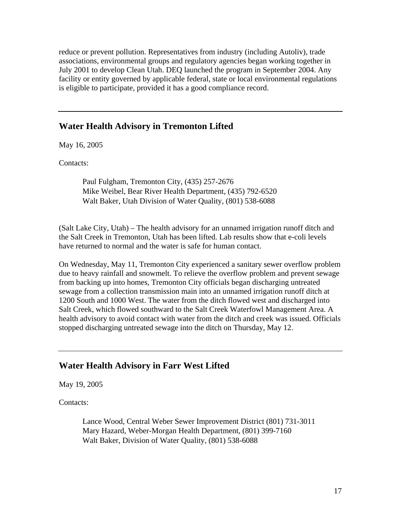reduce or prevent pollution. Representatives from industry (including Autoliv), trade associations, environmental groups and regulatory agencies began working together in July 2001 to develop Clean Utah. DEQ launched the program in September 2004. Any facility or entity governed by applicable federal, state or local environmental regulations is eligible to participate, provided it has a good compliance record.

#### **Water Health Advisory in Tremonton Lifted**

May 16, 2005

Contacts:

Paul Fulgham, Tremonton City, (435) 257-2676 Mike Weibel, Bear River Health Department, (435) 792-6520 Walt Baker, Utah Division of Water Quality, (801) 538-6088

(Salt Lake City, Utah) – The health advisory for an unnamed irrigation runoff ditch and the Salt Creek in Tremonton, Utah has been lifted. Lab results show that e-coli levels have returned to normal and the water is safe for human contact.

On Wednesday, May 11, Tremonton City experienced a sanitary sewer overflow problem due to heavy rainfall and snowmelt. To relieve the overflow problem and prevent sewage from backing up into homes, Tremonton City officials began discharging untreated sewage from a collection transmission main into an unnamed irrigation runoff ditch at 1200 South and 1000 West. The water from the ditch flowed west and discharged into Salt Creek, which flowed southward to the Salt Creek Waterfowl Management Area. A health advisory to avoid contact with water from the ditch and creek was issued. Officials stopped discharging untreated sewage into the ditch on Thursday, May 12.

## **Water Health Advisory in Farr West Lifted**

May 19, 2005

Contacts:

Lance Wood, Central Weber Sewer Improvement District (801) 731-3011 Mary Hazard, Weber-Morgan Health Department, (801) 399-7160 Walt Baker, Division of Water Quality, (801) 538-6088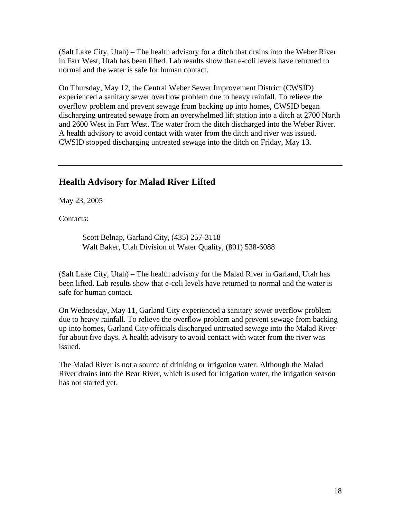(Salt Lake City, Utah) – The health advisory for a ditch that drains into the Weber River in Farr West, Utah has been lifted. Lab results show that e-coli levels have returned to normal and the water is safe for human contact.

On Thursday, May 12, the Central Weber Sewer Improvement District (CWSID) experienced a sanitary sewer overflow problem due to heavy rainfall. To relieve the overflow problem and prevent sewage from backing up into homes, CWSID began discharging untreated sewage from an overwhelmed lift station into a ditch at 2700 North and 2600 West in Farr West. The water from the ditch discharged into the Weber River. A health advisory to avoid contact with water from the ditch and river was issued. CWSID stopped discharging untreated sewage into the ditch on Friday, May 13.

# **Health Advisory for Malad River Lifted**

May 23, 2005

Contacts:

Scott Belnap, Garland City, (435) 257-3118 Walt Baker, Utah Division of Water Quality, (801) 538-6088

(Salt Lake City, Utah) – The health advisory for the Malad River in Garland, Utah has been lifted. Lab results show that e-coli levels have returned to normal and the water is safe for human contact.

On Wednesday, May 11, Garland City experienced a sanitary sewer overflow problem due to heavy rainfall. To relieve the overflow problem and prevent sewage from backing up into homes, Garland City officials discharged untreated sewage into the Malad River for about five days. A health advisory to avoid contact with water from the river was issued.

The Malad River is not a source of drinking or irrigation water. Although the Malad River drains into the Bear River, which is used for irrigation water, the irrigation season has not started yet.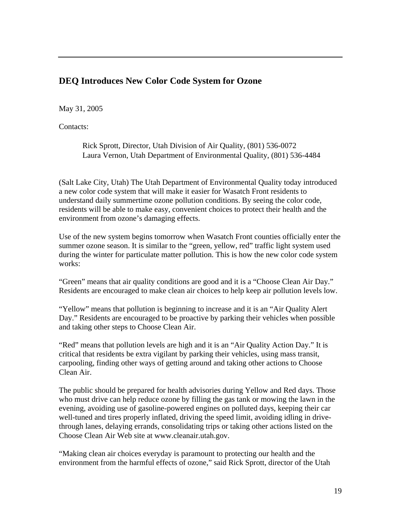# **DEQ Introduces New Color Code System for Ozone**

#### May 31, 2005

Contacts:

Rick Sprott, Director, Utah Division of Air Quality, (801) 536-0072 Laura Vernon, Utah Department of Environmental Quality, (801) 536-4484

(Salt Lake City, Utah) The Utah Department of Environmental Quality today introduced a new color code system that will make it easier for Wasatch Front residents to understand daily summertime ozone pollution conditions. By seeing the color code, residents will be able to make easy, convenient choices to protect their health and the environment from ozone's damaging effects.

Use of the new system begins tomorrow when Wasatch Front counties officially enter the summer ozone season. It is similar to the "green, yellow, red" traffic light system used during the winter for particulate matter pollution. This is how the new color code system works:

"Green" means that air quality conditions are good and it is a "Choose Clean Air Day." Residents are encouraged to make clean air choices to help keep air pollution levels low.

"Yellow" means that pollution is beginning to increase and it is an "Air Quality Alert Day." Residents are encouraged to be proactive by parking their vehicles when possible and taking other steps to Choose Clean Air.

"Red" means that pollution levels are high and it is an "Air Quality Action Day." It is critical that residents be extra vigilant by parking their vehicles, using mass transit, carpooling, finding other ways of getting around and taking other actions to Choose Clean Air.

The public should be prepared for health advisories during Yellow and Red days. Those who must drive can help reduce ozone by filling the gas tank or mowing the lawn in the evening, avoiding use of gasoline-powered engines on polluted days, keeping their car well-tuned and tires properly inflated, driving the speed limit, avoiding idling in drivethrough lanes, delaying errands, consolidating trips or taking other actions listed on the Choose Clean Air Web site at www.cleanair.utah.gov.

"Making clean air choices everyday is paramount to protecting our health and the environment from the harmful effects of ozone," said Rick Sprott, director of the Utah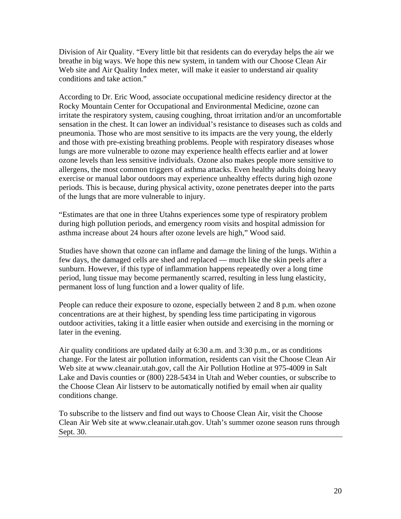Division of Air Quality. "Every little bit that residents can do everyday helps the air we breathe in big ways. We hope this new system, in tandem with our Choose Clean Air Web site and Air Quality Index meter, will make it easier to understand air quality conditions and take action."

According to Dr. Eric Wood, associate occupational medicine residency director at the Rocky Mountain Center for Occupational and Environmental Medicine, ozone can irritate the respiratory system, causing coughing, throat irritation and/or an uncomfortable sensation in the chest. It can lower an individual's resistance to diseases such as colds and pneumonia. Those who are most sensitive to its impacts are the very young, the elderly and those with pre-existing breathing problems. People with respiratory diseases whose lungs are more vulnerable to ozone may experience health effects earlier and at lower ozone levels than less sensitive individuals. Ozone also makes people more sensitive to allergens, the most common triggers of asthma attacks. Even healthy adults doing heavy exercise or manual labor outdoors may experience unhealthy effects during high ozone periods. This is because, during physical activity, ozone penetrates deeper into the parts of the lungs that are more vulnerable to injury.

"Estimates are that one in three Utahns experiences some type of respiratory problem during high pollution periods, and emergency room visits and hospital admission for asthma increase about 24 hours after ozone levels are high," Wood said.

Studies have shown that ozone can inflame and damage the lining of the lungs. Within a few days, the damaged cells are shed and replaced — much like the skin peels after a sunburn. However, if this type of inflammation happens repeatedly over a long time period, lung tissue may become permanently scarred, resulting in less lung elasticity, permanent loss of lung function and a lower quality of life.

People can reduce their exposure to ozone, especially between 2 and 8 p.m. when ozone concentrations are at their highest, by spending less time participating in vigorous outdoor activities, taking it a little easier when outside and exercising in the morning or later in the evening.

Air quality conditions are updated daily at 6:30 a.m. and 3:30 p.m., or as conditions change. For the latest air pollution information, residents can visit the Choose Clean Air Web site at www.cleanair.utah.gov, call the Air Pollution Hotline at 975-4009 in Salt Lake and Davis counties or (800) 228-5434 in Utah and Weber counties, or subscribe to the Choose Clean Air listserv to be automatically notified by email when air quality conditions change.

To subscribe to the listserv and find out ways to Choose Clean Air, visit the Choose Clean Air Web site at www.cleanair.utah.gov. Utah's summer ozone season runs through Sept. 30.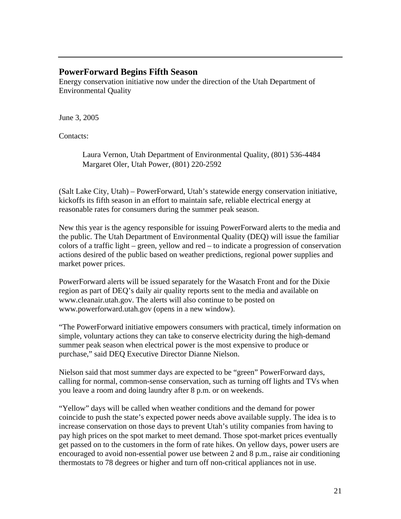### **PowerForward Begins Fifth Season**

Energy conservation initiative now under the direction of the Utah Department of Environmental Quality

June 3, 2005

Contacts:

Laura Vernon, Utah Department of Environmental Quality, (801) 536-4484 Margaret Oler, Utah Power, (801) 220-2592

(Salt Lake City, Utah) – PowerForward, Utah's statewide energy conservation initiative, kickoffs its fifth season in an effort to maintain safe, reliable electrical energy at reasonable rates for consumers during the summer peak season.

New this year is the agency responsible for issuing PowerForward alerts to the media and the public. The Utah Department of Environmental Quality (DEQ) will issue the familiar colors of a traffic light – green, yellow and red – to indicate a progression of conservation actions desired of the public based on weather predictions, regional power supplies and market power prices.

PowerForward alerts will be issued separately for the Wasatch Front and for the Dixie region as part of DEQ's daily air quality reports sent to the media and available on www.cleanair.utah.gov. The alerts will also continue to be posted on www.powerforward.utah.gov (opens in a new window).

"The PowerForward initiative empowers consumers with practical, timely information on simple, voluntary actions they can take to conserve electricity during the high-demand summer peak season when electrical power is the most expensive to produce or purchase," said DEQ Executive Director Dianne Nielson.

Nielson said that most summer days are expected to be "green" PowerForward days, calling for normal, common-sense conservation, such as turning off lights and TVs when you leave a room and doing laundry after 8 p.m. or on weekends.

"Yellow" days will be called when weather conditions and the demand for power coincide to push the state's expected power needs above available supply. The idea is to increase conservation on those days to prevent Utah's utility companies from having to pay high prices on the spot market to meet demand. Those spot-market prices eventually get passed on to the customers in the form of rate hikes. On yellow days, power users are encouraged to avoid non-essential power use between 2 and 8 p.m., raise air conditioning thermostats to 78 degrees or higher and turn off non-critical appliances not in use.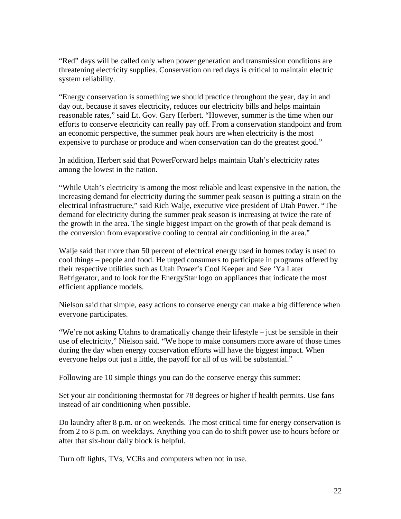"Red" days will be called only when power generation and transmission conditions are threatening electricity supplies. Conservation on red days is critical to maintain electric system reliability.

"Energy conservation is something we should practice throughout the year, day in and day out, because it saves electricity, reduces our electricity bills and helps maintain reasonable rates," said Lt. Gov. Gary Herbert. "However, summer is the time when our efforts to conserve electricity can really pay off. From a conservation standpoint and from an economic perspective, the summer peak hours are when electricity is the most expensive to purchase or produce and when conservation can do the greatest good."

In addition, Herbert said that PowerForward helps maintain Utah's electricity rates among the lowest in the nation.

"While Utah's electricity is among the most reliable and least expensive in the nation, the increasing demand for electricity during the summer peak season is putting a strain on the electrical infrastructure," said Rich Walje, executive vice president of Utah Power. "The demand for electricity during the summer peak season is increasing at twice the rate of the growth in the area. The single biggest impact on the growth of that peak demand is the conversion from evaporative cooling to central air conditioning in the area."

Walje said that more than 50 percent of electrical energy used in homes today is used to cool things – people and food. He urged consumers to participate in programs offered by their respective utilities such as Utah Power's Cool Keeper and See 'Ya Later Refrigerator, and to look for the EnergyStar logo on appliances that indicate the most efficient appliance models.

Nielson said that simple, easy actions to conserve energy can make a big difference when everyone participates.

"We're not asking Utahns to dramatically change their lifestyle – just be sensible in their use of electricity," Nielson said. "We hope to make consumers more aware of those times during the day when energy conservation efforts will have the biggest impact. When everyone helps out just a little, the payoff for all of us will be substantial."

Following are 10 simple things you can do the conserve energy this summer:

Set your air conditioning thermostat for 78 degrees or higher if health permits. Use fans instead of air conditioning when possible.

Do laundry after 8 p.m. or on weekends. The most critical time for energy conservation is from 2 to 8 p.m. on weekdays. Anything you can do to shift power use to hours before or after that six-hour daily block is helpful.

Turn off lights, TVs, VCRs and computers when not in use.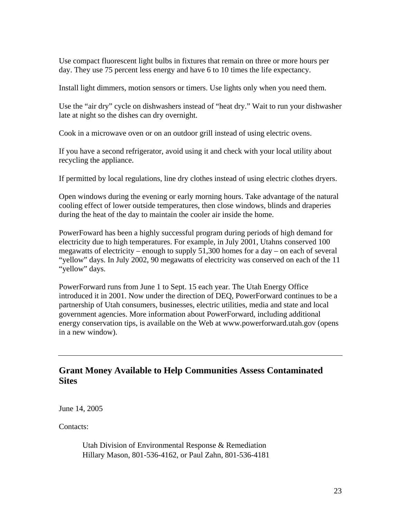Use compact fluorescent light bulbs in fixtures that remain on three or more hours per day. They use 75 percent less energy and have 6 to 10 times the life expectancy.

Install light dimmers, motion sensors or timers. Use lights only when you need them.

Use the "air dry" cycle on dishwashers instead of "heat dry." Wait to run your dishwasher late at night so the dishes can dry overnight.

Cook in a microwave oven or on an outdoor grill instead of using electric ovens.

If you have a second refrigerator, avoid using it and check with your local utility about recycling the appliance.

If permitted by local regulations, line dry clothes instead of using electric clothes dryers.

Open windows during the evening or early morning hours. Take advantage of the natural cooling effect of lower outside temperatures, then close windows, blinds and draperies during the heat of the day to maintain the cooler air inside the home.

PowerFoward has been a highly successful program during periods of high demand for electricity due to high temperatures. For example, in July 2001, Utahns conserved 100 megawatts of electricity – enough to supply 51,300 homes for a day – on each of several "yellow" days. In July 2002, 90 megawatts of electricity was conserved on each of the 11 "yellow" days.

PowerForward runs from June 1 to Sept. 15 each year. The Utah Energy Office introduced it in 2001. Now under the direction of DEQ, PowerForward continues to be a partnership of Utah consumers, businesses, electric utilities, media and state and local government agencies. More information about PowerForward, including additional energy conservation tips, is available on the Web at www.powerforward.utah.gov (opens in a new window).

# **Grant Money Available to Help Communities Assess Contaminated Sites**

June 14, 2005

Contacts:

Utah Division of Environmental Response & Remediation Hillary Mason, 801-536-4162, or Paul Zahn, 801-536-4181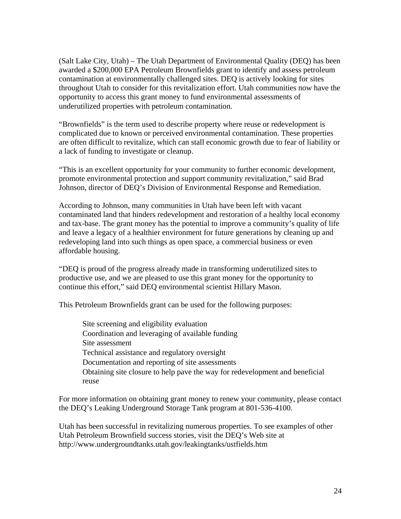(Salt Lake City, Utah) – The Utah Department of Environmental Quality (DEQ) has been awarded a \$200,000 EPA Petroleum Brownfields grant to identify and assess petroleum contamination at environmentally challenged sites. DEQ is actively looking for sites throughout Utah to consider for this revitalization effort. Utah communities now have the opportunity to access this grant money to fund environmental assessments of underutilized properties with petroleum contamination.

"Brownfields" is the term used to describe property where reuse or redevelopment is complicated due to known or perceived environmental contamination. These properties are often difficult to revitalize, which can stall economic growth due to fear of liability or a lack of funding to investigate or cleanup.

"This is an excellent opportunity for your community to further economic development, promote environmental protection and support community revitalization," said Brad Johnson, director of DEQ's Division of Environmental Response and Remediation.

According to Johnson, many communities in Utah have been left with vacant contaminated land that hinders redevelopment and restoration of a healthy local economy and tax-base. The grant money has the potential to improve a community's quality of life and leave a legacy of a healthier environment for future generations by cleaning up and redeveloping land into such things as open space, a commercial business or even affordable housing.

"DEQ is proud of the progress already made in transforming underutilized sites to productive use, and we are pleased to use this grant money for the opportunity to continue this effort," said DEQ environmental scientist Hillary Mason.

This Petroleum Brownfields grant can be used for the following purposes:

Site screening and eligibility evaluation Coordination and leveraging of available funding Site assessment Technical assistance and regulatory oversight Documentation and reporting of site assessments Obtaining site closure to help pave the way for redevelopment and beneficial reuse

For more information on obtaining grant money to renew your community, please contact the DEQ's Leaking Underground Storage Tank program at 801-536-4100.

Utah has been successful in revitalizing numerous properties. To see examples of other Utah Petroleum Brownfield success stories, visit the DEQ's Web site at http://www.undergroundtanks.utah.gov/leakingtanks/ustfields.htm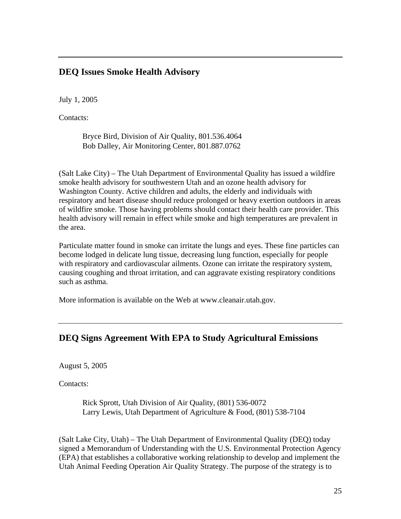# **DEQ Issues Smoke Health Advisory**

July 1, 2005

Contacts:

Bryce Bird, Division of Air Quality, 801.536.4064 Bob Dalley, Air Monitoring Center, 801.887.0762

(Salt Lake City) – The Utah Department of Environmental Quality has issued a wildfire smoke health advisory for southwestern Utah and an ozone health advisory for Washington County. Active children and adults, the elderly and individuals with respiratory and heart disease should reduce prolonged or heavy exertion outdoors in areas of wildfire smoke. Those having problems should contact their health care provider. This health advisory will remain in effect while smoke and high temperatures are prevalent in the area.

Particulate matter found in smoke can irritate the lungs and eyes. These fine particles can become lodged in delicate lung tissue, decreasing lung function, especially for people with respiratory and cardiovascular ailments. Ozone can irritate the respiratory system, causing coughing and throat irritation, and can aggravate existing respiratory conditions such as asthma.

More information is available on the Web at www.cleanair.utah.gov.

# **DEQ Signs Agreement With EPA to Study Agricultural Emissions**

August 5, 2005

Contacts:

Rick Sprott, Utah Division of Air Quality, (801) 536-0072 Larry Lewis, Utah Department of Agriculture & Food, (801) 538-7104

(Salt Lake City, Utah) – The Utah Department of Environmental Quality (DEQ) today signed a Memorandum of Understanding with the U.S. Environmental Protection Agency (EPA) that establishes a collaborative working relationship to develop and implement the Utah Animal Feeding Operation Air Quality Strategy. The purpose of the strategy is to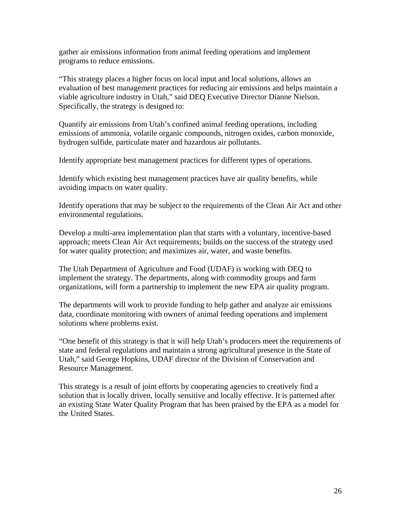gather air emissions information from animal feeding operations and implement programs to reduce emissions.

"This strategy places a higher focus on local input and local solutions, allows an evaluation of best management practices for reducing air emissions and helps maintain a viable agriculture industry in Utah," said DEQ Executive Director Dianne Nielson. Specifically, the strategy is designed to:

Quantify air emissions from Utah's confined animal feeding operations, including emissions of ammonia, volatile organic compounds, nitrogen oxides, carbon monoxide, hydrogen sulfide, particulate mater and hazardous air pollutants.

Identify appropriate best management practices for different types of operations.

Identify which existing best management practices have air quality benefits, while avoiding impacts on water quality.

Identify operations that may be subject to the requirements of the Clean Air Act and other environmental regulations.

Develop a multi-area implementation plan that starts with a voluntary, incentive-based approach; meets Clean Air Act requirements; builds on the success of the strategy used for water quality protection; and maximizes air, water, and waste benefits.

The Utah Department of Agriculture and Food (UDAF) is working with DEQ to implement the strategy. The departments, along with commodity groups and farm organizations, will form a partnership to implement the new EPA air quality program.

The departments will work to provide funding to help gather and analyze air emissions data, coordinate monitoring with owners of animal feeding operations and implement solutions where problems exist.

"One benefit of this strategy is that it will help Utah's producers meet the requirements of state and federal regulations and maintain a strong agricultural presence in the State of Utah," said George Hopkins, UDAF director of the Division of Conservation and Resource Management.

This strategy is a result of joint efforts by cooperating agencies to creatively find a solution that is locally driven, locally sensitive and locally effective. It is patterned after an existing State Water Quality Program that has been praised by the EPA as a model for the United States.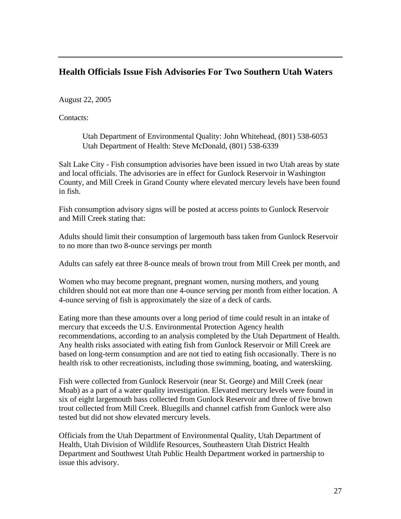# **Health Officials Issue Fish Advisories For Two Southern Utah Waters**

August 22, 2005

Contacts:

Utah Department of Environmental Quality: John Whitehead, (801) 538-6053 Utah Department of Health: Steve McDonald, (801) 538-6339

Salt Lake City - Fish consumption advisories have been issued in two Utah areas by state and local officials. The advisories are in effect for Gunlock Reservoir in Washington County, and Mill Creek in Grand County where elevated mercury levels have been found in fish.

Fish consumption advisory signs will be posted at access points to Gunlock Reservoir and Mill Creek stating that:

Adults should limit their consumption of largemouth bass taken from Gunlock Reservoir to no more than two 8-ounce servings per month

Adults can safely eat three 8-ounce meals of brown trout from Mill Creek per month, and

Women who may become pregnant, pregnant women, nursing mothers, and young children should not eat more than one 4-ounce serving per month from either location. A 4-ounce serving of fish is approximately the size of a deck of cards.

Eating more than these amounts over a long period of time could result in an intake of mercury that exceeds the U.S. Environmental Protection Agency health recommendations, according to an analysis completed by the Utah Department of Health. Any health risks associated with eating fish from Gunlock Reservoir or Mill Creek are based on long-term consumption and are not tied to eating fish occasionally. There is no health risk to other recreationists, including those swimming, boating, and waterskiing.

Fish were collected from Gunlock Reservoir (near St. George) and Mill Creek (near Moab) as a part of a water quality investigation. Elevated mercury levels were found in six of eight largemouth bass collected from Gunlock Reservoir and three of five brown trout collected from Mill Creek. Bluegills and channel catfish from Gunlock were also tested but did not show elevated mercury levels.

Officials from the Utah Department of Environmental Quality, Utah Department of Health, Utah Division of Wildlife Resources, Southeastern Utah District Health Department and Southwest Utah Public Health Department worked in partnership to issue this advisory.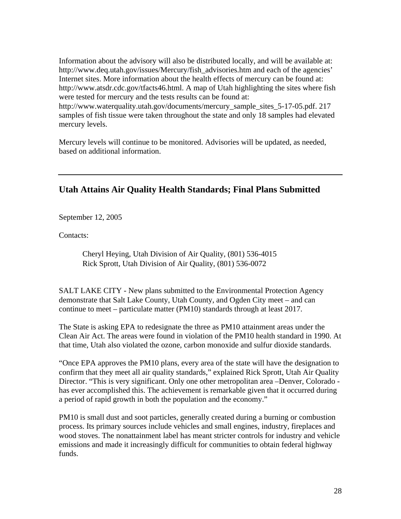Information about the advisory will also be distributed locally, and will be available at: http://www.deq.utah.gov/issues/Mercury/fish\_advisories.htm and each of the agencies' Internet sites. More information about the health effects of mercury can be found at: http://www.atsdr.cdc.gov/tfacts46.html. A map of Utah highlighting the sites where fish were tested for mercury and the tests results can be found at: http://www.waterquality.utah.gov/documents/mercury\_sample\_sites\_5-17-05.pdf. 217 samples of fish tissue were taken throughout the state and only 18 samples had elevated mercury levels.

Mercury levels will continue to be monitored. Advisories will be updated, as needed, based on additional information.

# **Utah Attains Air Quality Health Standards; Final Plans Submitted**

September 12, 2005

Contacts:

Cheryl Heying, Utah Division of Air Quality, (801) 536-4015 Rick Sprott, Utah Division of Air Quality, (801) 536-0072

SALT LAKE CITY - New plans submitted to the Environmental Protection Agency demonstrate that Salt Lake County, Utah County, and Ogden City meet – and can continue to meet – particulate matter (PM10) standards through at least 2017.

The State is asking EPA to redesignate the three as PM10 attainment areas under the Clean Air Act. The areas were found in violation of the PM10 health standard in 1990. At that time, Utah also violated the ozone, carbon monoxide and sulfur dioxide standards.

"Once EPA approves the PM10 plans, every area of the state will have the designation to confirm that they meet all air quality standards," explained Rick Sprott, Utah Air Quality Director. "This is very significant. Only one other metropolitan area –Denver, Colorado has ever accomplished this. The achievement is remarkable given that it occurred during a period of rapid growth in both the population and the economy."

PM10 is small dust and soot particles, generally created during a burning or combustion process. Its primary sources include vehicles and small engines, industry, fireplaces and wood stoves. The nonattainment label has meant stricter controls for industry and vehicle emissions and made it increasingly difficult for communities to obtain federal highway funds.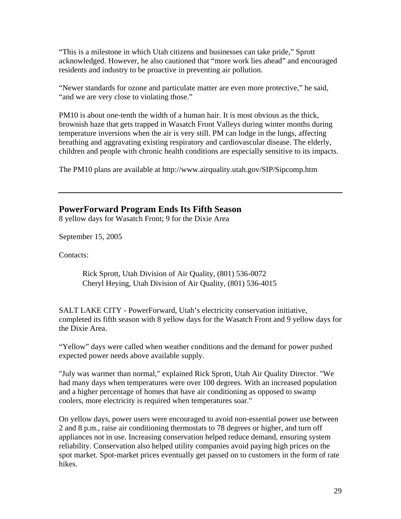"This is a milestone in which Utah citizens and businesses can take pride," Sprott acknowledged. However, he also cautioned that "more work lies ahead" and encouraged residents and industry to be proactive in preventing air pollution.

"Newer standards for ozone and particulate matter are even more protective," he said, "and we are very close to violating those."

PM10 is about one-tenth the width of a human hair. It is most obvious as the thick, brownish haze that gets trapped in Wasatch Front Valleys during winter months during temperature inversions when the air is very still. PM can lodge in the lungs, affecting breathing and aggravating existing respiratory and cardiovascular disease. The elderly, children and people with chronic health conditions are especially sensitive to its impacts.

The PM10 plans are available at http://www.airquality.utah.gov/SIP/Sipcomp.htm

#### **PowerForward Program Ends Its Fifth Season**

8 yellow days for Wasatch Front; 9 for the Dixie Area

September 15, 2005

Contacts:

Rick Sprott, Utah Division of Air Quality, (801) 536-0072 Cheryl Heying, Utah Division of Air Quality, (801) 536-4015

SALT LAKE CITY - PowerForward, Utah's electricity conservation initiative, completed its fifth season with 8 yellow days for the Wasatch Front and 9 yellow days for the Dixie Area.

"Yellow" days were called when weather conditions and the demand for power pushed expected power needs above available supply.

"July was warmer than normal," explained Rick Sprott, Utah Air Quality Director. "We had many days when temperatures were over 100 degrees. With an increased population and a higher percentage of homes that have air conditioning as opposed to swamp coolers, more electricity is required when temperatures soar."

On yellow days, power users were encouraged to avoid non-essential power use between 2 and 8 p.m., raise air conditioning thermostats to 78 degrees or higher, and turn off appliances not in use. Increasing conservation helped reduce demand, ensuring system reliability. Conservation also helped utility companies avoid paying high prices on the spot market. Spot-market prices eventually get passed on to customers in the form of rate hikes.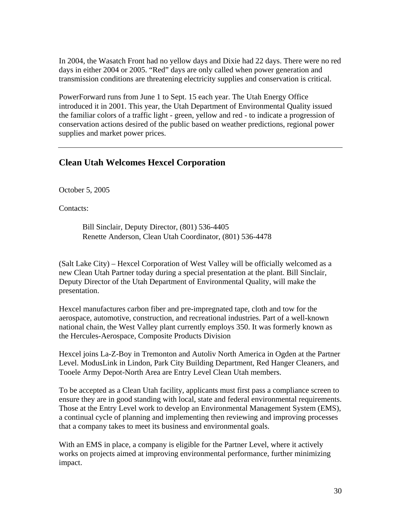In 2004, the Wasatch Front had no yellow days and Dixie had 22 days. There were no red days in either 2004 or 2005. "Red" days are only called when power generation and transmission conditions are threatening electricity supplies and conservation is critical.

PowerForward runs from June 1 to Sept. 15 each year. The Utah Energy Office introduced it in 2001. This year, the Utah Department of Environmental Quality issued the familiar colors of a traffic light - green, yellow and red - to indicate a progression of conservation actions desired of the public based on weather predictions, regional power supplies and market power prices.

## **Clean Utah Welcomes Hexcel Corporation**

October 5, 2005

Contacts:

Bill Sinclair, Deputy Director, (801) 536-4405 Renette Anderson, Clean Utah Coordinator, (801) 536-4478

(Salt Lake City) – Hexcel Corporation of West Valley will be officially welcomed as a new Clean Utah Partner today during a special presentation at the plant. Bill Sinclair, Deputy Director of the Utah Department of Environmental Quality, will make the presentation.

Hexcel manufactures carbon fiber and pre-impregnated tape, cloth and tow for the aerospace, automotive, construction, and recreational industries. Part of a well-known national chain, the West Valley plant currently employs 350. It was formerly known as the Hercules-Aerospace, Composite Products Division

Hexcel joins La-Z-Boy in Tremonton and Autoliv North America in Ogden at the Partner Level. ModusLink in Lindon, Park City Building Department, Red Hanger Cleaners, and Tooele Army Depot-North Area are Entry Level Clean Utah members.

To be accepted as a Clean Utah facility, applicants must first pass a compliance screen to ensure they are in good standing with local, state and federal environmental requirements. Those at the Entry Level work to develop an Environmental Management System (EMS), a continual cycle of planning and implementing then reviewing and improving processes that a company takes to meet its business and environmental goals.

With an EMS in place, a company is eligible for the Partner Level, where it actively works on projects aimed at improving environmental performance, further minimizing impact.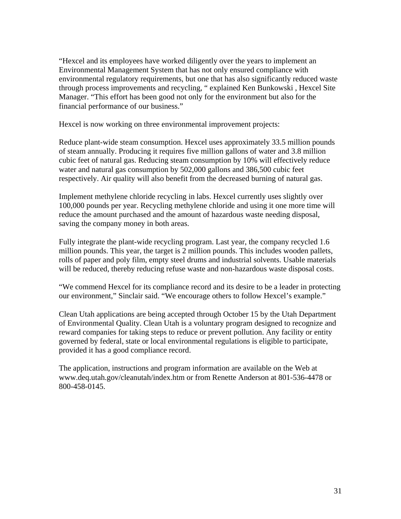"Hexcel and its employees have worked diligently over the years to implement an Environmental Management System that has not only ensured compliance with environmental regulatory requirements, but one that has also significantly reduced waste through process improvements and recycling, " explained Ken Bunkowski , Hexcel Site Manager. "This effort has been good not only for the environment but also for the financial performance of our business."

Hexcel is now working on three environmental improvement projects:

Reduce plant-wide steam consumption. Hexcel uses approximately 33.5 million pounds of steam annually. Producing it requires five million gallons of water and 3.8 million cubic feet of natural gas. Reducing steam consumption by 10% will effectively reduce water and natural gas consumption by 502,000 gallons and 386,500 cubic feet respectively. Air quality will also benefit from the decreased burning of natural gas.

Implement methylene chloride recycling in labs. Hexcel currently uses slightly over 100,000 pounds per year. Recycling methylene chloride and using it one more time will reduce the amount purchased and the amount of hazardous waste needing disposal, saving the company money in both areas.

Fully integrate the plant-wide recycling program. Last year, the company recycled 1.6 million pounds. This year, the target is 2 million pounds. This includes wooden pallets, rolls of paper and poly film, empty steel drums and industrial solvents. Usable materials will be reduced, thereby reducing refuse waste and non-hazardous waste disposal costs.

"We commend Hexcel for its compliance record and its desire to be a leader in protecting our environment," Sinclair said. "We encourage others to follow Hexcel's example."

Clean Utah applications are being accepted through October 15 by the Utah Department of Environmental Quality. Clean Utah is a voluntary program designed to recognize and reward companies for taking steps to reduce or prevent pollution. Any facility or entity governed by federal, state or local environmental regulations is eligible to participate, provided it has a good compliance record.

The application, instructions and program information are available on the Web at www.deq.utah.gov/cleanutah/index.htm or from Renette Anderson at 801-536-4478 or 800-458-0145.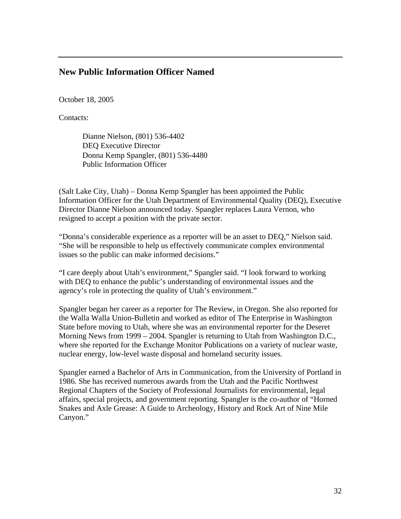### **New Public Information Officer Named**

October 18, 2005

Contacts:

Dianne Nielson, (801) 536-4402 DEQ Executive Director Donna Kemp Spangler, (801) 536-4480 Public Information Officer

(Salt Lake City, Utah) – Donna Kemp Spangler has been appointed the Public Information Officer for the Utah Department of Environmental Quality (DEQ), Executive Director Dianne Nielson announced today. Spangler replaces Laura Vernon, who resigned to accept a position with the private sector.

"Donna's considerable experience as a reporter will be an asset to DEQ," Nielson said. "She will be responsible to help us effectively communicate complex environmental issues so the public can make informed decisions."

"I care deeply about Utah's environment," Spangler said. "I look forward to working with DEQ to enhance the public's understanding of environmental issues and the agency's role in protecting the quality of Utah's environment."

Spangler began her career as a reporter for The Review, in Oregon. She also reported for the Walla Walla Union-Bulletin and worked as editor of The Enterprise in Washington State before moving to Utah, where she was an environmental reporter for the Deseret Morning News from 1999 – 2004. Spangler is returning to Utah from Washington D.C., where she reported for the Exchange Monitor Publications on a variety of nuclear waste, nuclear energy, low-level waste disposal and homeland security issues.

Spangler earned a Bachelor of Arts in Communication, from the University of Portland in 1986. She has received numerous awards from the Utah and the Pacific Northwest Regional Chapters of the Society of Professional Journalists for environmental, legal affairs, special projects, and government reporting. Spangler is the co-author of "Horned Snakes and Axle Grease: A Guide to Archeology, History and Rock Art of Nine Mile Canyon."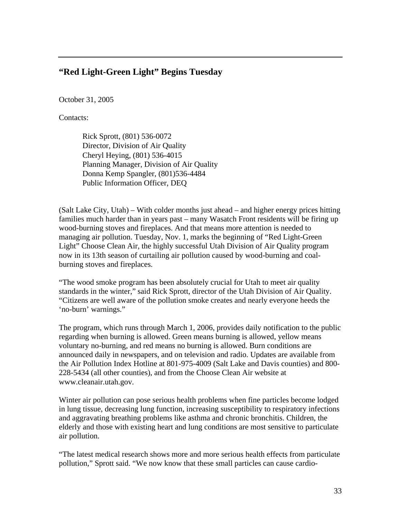## **"Red Light-Green Light" Begins Tuesday**

October 31, 2005

Contacts:

Rick Sprott, (801) 536-0072 Director, Division of Air Quality Cheryl Heying, (801) 536-4015 Planning Manager, Division of Air Quality Donna Kemp Spangler, (801)536-4484 Public Information Officer, DEQ

(Salt Lake City, Utah) – With colder months just ahead – and higher energy prices hitting families much harder than in years past – many Wasatch Front residents will be firing up wood-burning stoves and fireplaces. And that means more attention is needed to managing air pollution. Tuesday, Nov. 1, marks the beginning of "Red Light-Green Light" Choose Clean Air, the highly successful Utah Division of Air Quality program now in its 13th season of curtailing air pollution caused by wood-burning and coalburning stoves and fireplaces.

"The wood smoke program has been absolutely crucial for Utah to meet air quality standards in the winter," said Rick Sprott, director of the Utah Division of Air Quality. "Citizens are well aware of the pollution smoke creates and nearly everyone heeds the 'no-burn' warnings."

The program, which runs through March 1, 2006, provides daily notification to the public regarding when burning is allowed. Green means burning is allowed, yellow means voluntary no-burning, and red means no burning is allowed. Burn conditions are announced daily in newspapers, and on television and radio. Updates are available from the Air Pollution Index Hotline at 801-975-4009 (Salt Lake and Davis counties) and 800- 228-5434 (all other counties), and from the Choose Clean Air website at www.cleanair.utah.gov.

Winter air pollution can pose serious health problems when fine particles become lodged in lung tissue, decreasing lung function, increasing susceptibility to respiratory infections and aggravating breathing problems like asthma and chronic bronchitis. Children, the elderly and those with existing heart and lung conditions are most sensitive to particulate air pollution.

"The latest medical research shows more and more serious health effects from particulate pollution," Sprott said. "We now know that these small particles can cause cardio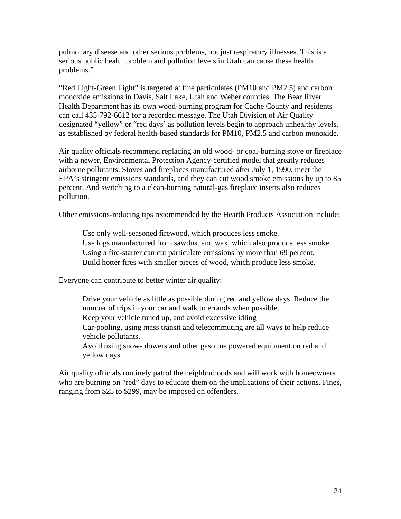pulmonary disease and other serious problems, not just respiratory illnesses. This is a serious public health problem and pollution levels in Utah can cause these health problems."

"Red Light-Green Light" is targeted at fine particulates (PM10 and PM2.5) and carbon monoxide emissions in Davis, Salt Lake, Utah and Weber counties. The Bear River Health Department has its own wood-burning program for Cache County and residents can call 435-792-6612 for a recorded message. The Utah Division of Air Quality designated "yellow" or "red days' as pollution levels begin to approach unhealthy levels, as established by federal health-based standards for PM10, PM2.5 and carbon monoxide.

Air quality officials recommend replacing an old wood- or coal-burning stove or fireplace with a newer, Environmental Protection Agency-certified model that greatly reduces airborne pollutants. Stoves and fireplaces manufactured after July 1, 1990, meet the EPA's stringent emissions standards, and they can cut wood smoke emissions by up to 85 percent. And switching to a clean-burning natural-gas fireplace inserts also reduces pollution.

Other emissions-reducing tips recommended by the Hearth Products Association include:

Use only well-seasoned firewood, which produces less smoke. Use logs manufactured from sawdust and wax, which also produce less smoke. Using a fire-starter can cut particulate emissions by more than 69 percent. Build hotter fires with smaller pieces of wood, which produce less smoke.

Everyone can contribute to better winter air quality:

Drive your vehicle as little as possible during red and yellow days. Reduce the number of trips in your car and walk to errands when possible. Keep your vehicle tuned up, and avoid excessive idling Car-pooling, using mass transit and telecommuting are all ways to help reduce vehicle pollutants. Avoid using snow-blowers and other gasoline powered equipment on red and yellow days.

Air quality officials routinely patrol the neighborhoods and will work with homeowners who are burning on "red" days to educate them on the implications of their actions. Fines, ranging from \$25 to \$299, may be imposed on offenders.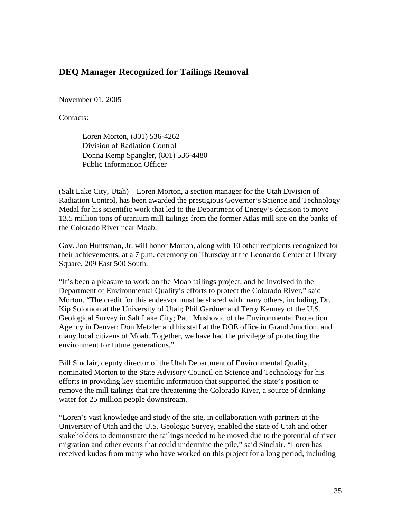## **DEQ Manager Recognized for Tailings Removal**

November 01, 2005

Contacts:

Loren Morton, (801) 536-4262 Division of Radiation Control Donna Kemp Spangler, (801) 536-4480 Public Information Officer

(Salt Lake City, Utah) – Loren Morton, a section manager for the Utah Division of Radiation Control, has been awarded the prestigious Governor's Science and Technology Medal for his scientific work that led to the Department of Energy's decision to move 13.5 million tons of uranium mill tailings from the former Atlas mill site on the banks of the Colorado River near Moab.

Gov. Jon Huntsman, Jr. will honor Morton, along with 10 other recipients recognized for their achievements, at a 7 p.m. ceremony on Thursday at the Leonardo Center at Library Square, 209 East 500 South.

"It's been a pleasure to work on the Moab tailings project, and be involved in the Department of Environmental Quality's efforts to protect the Colorado River," said Morton. "The credit for this endeavor must be shared with many others, including, Dr. Kip Solomon at the University of Utah; Phil Gardner and Terry Kenney of the U.S. Geological Survey in Salt Lake City; Paul Mushovic of the Environmental Protection Agency in Denver; Don Metzler and his staff at the DOE office in Grand Junction, and many local citizens of Moab. Together, we have had the privilege of protecting the environment for future generations."

Bill Sinclair, deputy director of the Utah Department of Environmental Quality, nominated Morton to the State Advisory Council on Science and Technology for his efforts in providing key scientific information that supported the state's position to remove the mill tailings that are threatening the Colorado River, a source of drinking water for 25 million people downstream.

"Loren's vast knowledge and study of the site, in collaboration with partners at the University of Utah and the U.S. Geologic Survey, enabled the state of Utah and other stakeholders to demonstrate the tailings needed to be moved due to the potential of river migration and other events that could undermine the pile," said Sinclair. "Loren has received kudos from many who have worked on this project for a long period, including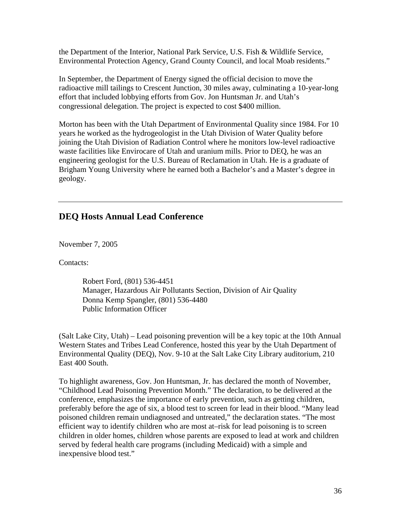the Department of the Interior, National Park Service, U.S. Fish & Wildlife Service, Environmental Protection Agency, Grand County Council, and local Moab residents."

In September, the Department of Energy signed the official decision to move the radioactive mill tailings to Crescent Junction, 30 miles away, culminating a 10-year-long effort that included lobbying efforts from Gov. Jon Huntsman Jr. and Utah's congressional delegation. The project is expected to cost \$400 million.

Morton has been with the Utah Department of Environmental Quality since 1984. For 10 years he worked as the hydrogeologist in the Utah Division of Water Quality before joining the Utah Division of Radiation Control where he monitors low-level radioactive waste facilities like Envirocare of Utah and uranium mills. Prior to DEQ, he was an engineering geologist for the U.S. Bureau of Reclamation in Utah. He is a graduate of Brigham Young University where he earned both a Bachelor's and a Master's degree in geology.

## **DEQ Hosts Annual Lead Conference**

November 7, 2005

Contacts:

Robert Ford, (801) 536-4451 Manager, Hazardous Air Pollutants Section, Division of Air Quality Donna Kemp Spangler, (801) 536-4480 Public Information Officer

(Salt Lake City, Utah) – Lead poisoning prevention will be a key topic at the 10th Annual Western States and Tribes Lead Conference, hosted this year by the Utah Department of Environmental Quality (DEQ), Nov. 9-10 at the Salt Lake City Library auditorium, 210 East 400 South.

To highlight awareness, Gov. Jon Huntsman, Jr. has declared the month of November, "Childhood Lead Poisoning Prevention Month." The declaration, to be delivered at the conference, emphasizes the importance of early prevention, such as getting children, preferably before the age of six, a blood test to screen for lead in their blood. "Many lead poisoned children remain undiagnosed and untreated," the declaration states. "The most efficient way to identify children who are most at–risk for lead poisoning is to screen children in older homes, children whose parents are exposed to lead at work and children served by federal health care programs (including Medicaid) with a simple and inexpensive blood test."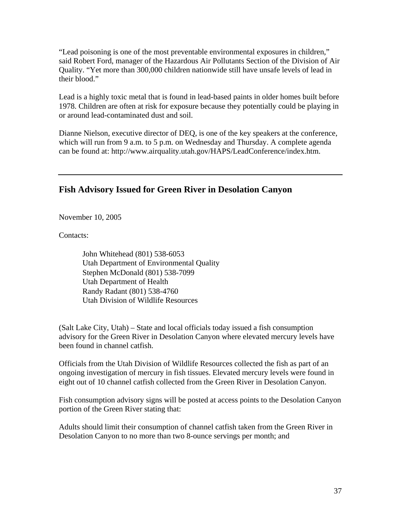"Lead poisoning is one of the most preventable environmental exposures in children," said Robert Ford, manager of the Hazardous Air Pollutants Section of the Division of Air Quality. "Yet more than 300,000 children nationwide still have unsafe levels of lead in their blood."

Lead is a highly toxic metal that is found in lead-based paints in older homes built before 1978. Children are often at risk for exposure because they potentially could be playing in or around lead-contaminated dust and soil.

Dianne Nielson, executive director of DEQ, is one of the key speakers at the conference, which will run from 9 a.m. to 5 p.m. on Wednesday and Thursday. A complete agenda can be found at: http://www.airquality.utah.gov/HAPS/LeadConference/index.htm.

# **Fish Advisory Issued for Green River in Desolation Canyon**

November 10, 2005

Contacts:

John Whitehead (801) 538-6053 Utah Department of Environmental Quality Stephen McDonald (801) 538-7099 Utah Department of Health Randy Radant (801) 538-4760 Utah Division of Wildlife Resources

(Salt Lake City, Utah) – State and local officials today issued a fish consumption advisory for the Green River in Desolation Canyon where elevated mercury levels have been found in channel catfish.

Officials from the Utah Division of Wildlife Resources collected the fish as part of an ongoing investigation of mercury in fish tissues. Elevated mercury levels were found in eight out of 10 channel catfish collected from the Green River in Desolation Canyon.

Fish consumption advisory signs will be posted at access points to the Desolation Canyon portion of the Green River stating that:

Adults should limit their consumption of channel catfish taken from the Green River in Desolation Canyon to no more than two 8-ounce servings per month; and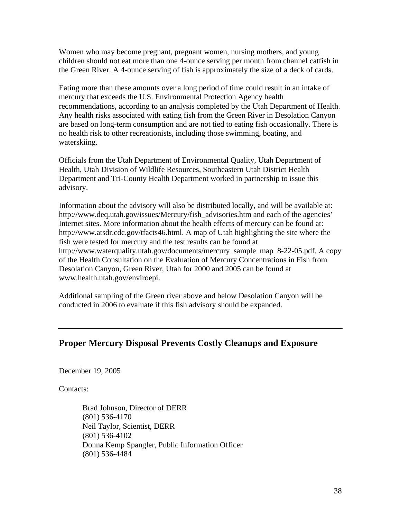Women who may become pregnant, pregnant women, nursing mothers, and young children should not eat more than one 4-ounce serving per month from channel catfish in the Green River. A 4-ounce serving of fish is approximately the size of a deck of cards.

Eating more than these amounts over a long period of time could result in an intake of mercury that exceeds the U.S. Environmental Protection Agency health recommendations, according to an analysis completed by the Utah Department of Health. Any health risks associated with eating fish from the Green River in Desolation Canyon are based on long-term consumption and are not tied to eating fish occasionally. There is no health risk to other recreationists, including those swimming, boating, and waterskiing.

Officials from the Utah Department of Environmental Quality, Utah Department of Health, Utah Division of Wildlife Resources, Southeastern Utah District Health Department and Tri-County Health Department worked in partnership to issue this advisory.

Information about the advisory will also be distributed locally, and will be available at: http://www.deq.utah.gov/issues/Mercury/fish\_advisories.htm and each of the agencies' Internet sites. More information about the health effects of mercury can be found at: http://www.atsdr.cdc.gov/tfacts46.html. A map of Utah highlighting the site where the fish were tested for mercury and the test results can be found at http://www.waterquality.utah.gov/documents/mercury\_sample\_map\_8-22-05.pdf. A copy of the Health Consultation on the Evaluation of Mercury Concentrations in Fish from Desolation Canyon, Green River, Utah for 2000 and 2005 can be found at www.health.utah.gov/enviroepi.

Additional sampling of the Green river above and below Desolation Canyon will be conducted in 2006 to evaluate if this fish advisory should be expanded.

# **Proper Mercury Disposal Prevents Costly Cleanups and Exposure**

December 19, 2005

Contacts:

Brad Johnson, Director of DERR (801) 536-4170 Neil Taylor, Scientist, DERR (801) 536-4102 Donna Kemp Spangler, Public Information Officer (801) 536-4484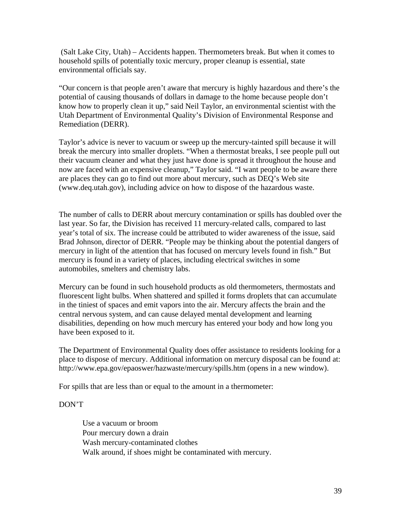(Salt Lake City, Utah) – Accidents happen. Thermometers break. But when it comes to household spills of potentially toxic mercury, proper cleanup is essential, state environmental officials say.

"Our concern is that people aren't aware that mercury is highly hazardous and there's the potential of causing thousands of dollars in damage to the home because people don't know how to properly clean it up," said Neil Taylor, an environmental scientist with the Utah Department of Environmental Quality's Division of Environmental Response and Remediation (DERR).

Taylor's advice is never to vacuum or sweep up the mercury-tainted spill because it will break the mercury into smaller droplets. "When a thermostat breaks, I see people pull out their vacuum cleaner and what they just have done is spread it throughout the house and now are faced with an expensive cleanup," Taylor said. "I want people to be aware there are places they can go to find out more about mercury, such as DEQ's Web site (www.deq.utah.gov), including advice on how to dispose of the hazardous waste.

The number of calls to DERR about mercury contamination or spills has doubled over the last year. So far, the Division has received 11 mercury-related calls, compared to last year's total of six. The increase could be attributed to wider awareness of the issue, said Brad Johnson, director of DERR. "People may be thinking about the potential dangers of mercury in light of the attention that has focused on mercury levels found in fish." But mercury is found in a variety of places, including electrical switches in some automobiles, smelters and chemistry labs.

Mercury can be found in such household products as old thermometers, thermostats and fluorescent light bulbs. When shattered and spilled it forms droplets that can accumulate in the tiniest of spaces and emit vapors into the air. Mercury affects the brain and the central nervous system, and can cause delayed mental development and learning disabilities, depending on how much mercury has entered your body and how long you have been exposed to it.

The Department of Environmental Quality does offer assistance to residents looking for a place to dispose of mercury. Additional information on mercury disposal can be found at: http://www.epa.gov/epaoswer/hazwaste/mercury/spills.htm (opens in a new window).

For spills that are less than or equal to the amount in a thermometer:

#### DON'T

Use a vacuum or broom Pour mercury down a drain Wash mercury-contaminated clothes Walk around, if shoes might be contaminated with mercury.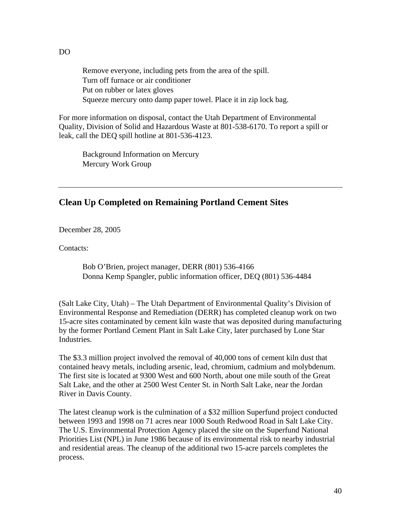Remove everyone, including pets from the area of the spill. Turn off furnace or air conditioner Put on rubber or latex gloves Squeeze mercury onto damp paper towel. Place it in zip lock bag.

For more information on disposal, contact the Utah Department of Environmental Quality, Division of Solid and Hazardous Waste at 801-538-6170. To report a spill or leak, call the DEQ spill hotline at 801-536-4123.

Background Information on Mercury Mercury Work Group

#### **Clean Up Completed on Remaining Portland Cement Sites**

December 28, 2005

Contacts:

Bob O'Brien, project manager, DERR (801) 536-4166 Donna Kemp Spangler, public information officer, DEQ (801) 536-4484

(Salt Lake City, Utah) – The Utah Department of Environmental Quality's Division of Environmental Response and Remediation (DERR) has completed cleanup work on two 15-acre sites contaminated by cement kiln waste that was deposited during manufacturing by the former Portland Cement Plant in Salt Lake City, later purchased by Lone Star Industries.

The \$3.3 million project involved the removal of 40,000 tons of cement kiln dust that contained heavy metals, including arsenic, lead, chromium, cadmium and molybdenum. The first site is located at 9300 West and 600 North, about one mile south of the Great Salt Lake, and the other at 2500 West Center St. in North Salt Lake, near the Jordan River in Davis County.

The latest cleanup work is the culmination of a \$32 million Superfund project conducted between 1993 and 1998 on 71 acres near 1000 South Redwood Road in Salt Lake City. The U.S. Environmental Protection Agency placed the site on the Superfund National Priorities List (NPL) in June 1986 because of its environmental risk to nearby industrial and residential areas. The cleanup of the additional two 15-acre parcels completes the process.

DO